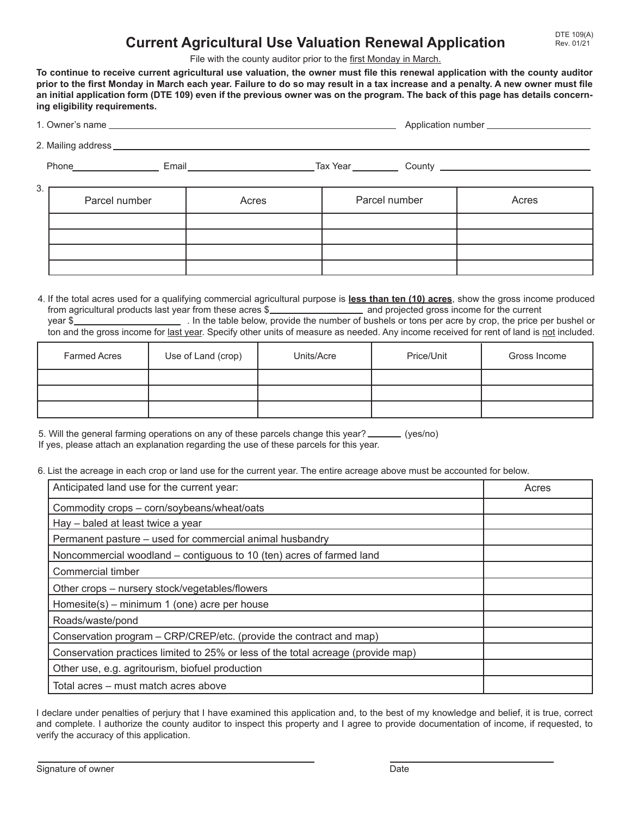# **Current Agricultural Use Valuation Renewal Application**

File with the county auditor prior to the first Monday in March.

**To continue to receive current agricultural use valuation, the owner must file this renewal application with the county auditor prior to the first Monday in March each year. Failure to do so may result in a tax increase and a penalty. A new owner must file an initial application form (DTE 109) even if the previous owner was on the program. The back of this page has details concerning eligibility requirements.**

| 1. Owner's name |                                                                                                                                                                                                                                    |       |               |  |       |  |
|-----------------|------------------------------------------------------------------------------------------------------------------------------------------------------------------------------------------------------------------------------------|-------|---------------|--|-------|--|
|                 |                                                                                                                                                                                                                                    |       |               |  |       |  |
|                 | <b>Phone Contract Contract Contract Contract Contract Contract Contract Contract Contract Contract Contract Contract Contract Contract Contract Contract Contract Contract Contract Contract Contract Contract Contract Contra</b> |       | Tax Year      |  |       |  |
| 3.              | Parcel number                                                                                                                                                                                                                      | Acres | Parcel number |  | Acres |  |
|                 |                                                                                                                                                                                                                                    |       |               |  |       |  |

4. If the total acres used for a qualifying commercial agricultural purpose is <u>less than ten (10) acres,</u> show the gross income produced from agricultural products last year from these acres \$ year \$ ton and the gross income for last year. Specify other units of measure as needed. Any income received for rent of land is not included.

| <b>Farmed Acres</b> | Use of Land (crop) | Units/Acre | Price/Unit | Gross Income |
|---------------------|--------------------|------------|------------|--------------|
|                     |                    |            |            |              |
|                     |                    |            |            |              |
|                     |                    |            |            |              |

5. Will the general farming operations on any of these parcels change this year? \_\_\_\_\_\_\_\_ (yes/no) If yes, please attach an explanation regarding the use of these parcels for this year.

6. List the acreage in each crop or land use for the current year. The entire acreage above must be accounted for below.

| Anticipated land use for the current year:                                       | Acres |
|----------------------------------------------------------------------------------|-------|
| Commodity crops - corn/soybeans/wheat/oats                                       |       |
| Hay – baled at least twice a year                                                |       |
| Permanent pasture – used for commercial animal husbandry                         |       |
| Noncommercial woodland – contiguous to 10 (ten) acres of farmed land             |       |
| Commercial timber                                                                |       |
| Other crops - nursery stock/vegetables/flowers                                   |       |
| Homesite(s) – minimum 1 (one) acre per house                                     |       |
| Roads/waste/pond                                                                 |       |
| Conservation program - CRP/CREP/etc. (provide the contract and map)              |       |
| Conservation practices limited to 25% or less of the total acreage (provide map) |       |
| Other use, e.g. agritourism, biofuel production                                  |       |
| Total acres – must match acres above                                             |       |

I declare under penalties of perjury that I have examined this application and, to the best of my knowledge and belief, it is true, correct and complete. I authorize the county auditor to inspect this property and I agree to provide documentation of income, if requested, to verify the accuracy of this application.